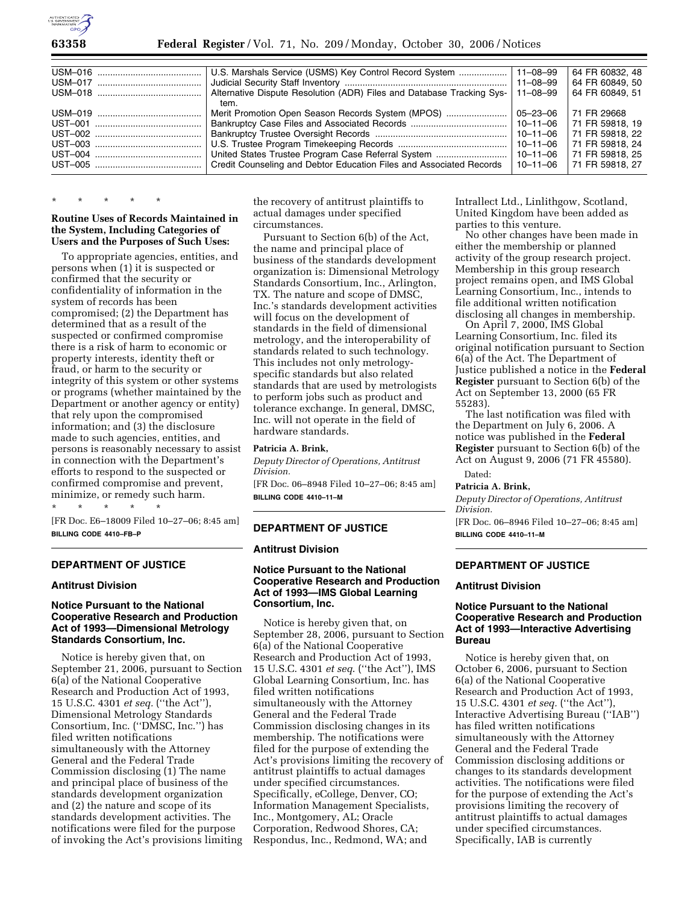

| U.S. Marshals Service (USMS) Key Control Record System                           | $ 11 - 08 - 99 $ | 64 FR 60832, 48 |
|----------------------------------------------------------------------------------|------------------|-----------------|
|                                                                                  | $ 11 - 08 - 99 $ | 64 FR 60849, 50 |
| Alternative Dispute Resolution (ADR) Files and Database Tracking Sys-   11–08–99 |                  | 64 FR 60849, 51 |
| tem.                                                                             |                  |                 |
| Merit Promotion Open Season Records System (MPOS)                                | 05–23–06         | 71 FR 29668     |
|                                                                                  | l 10–11–06       | 71 FR 59818, 19 |
|                                                                                  | 10-11-06         | 71 FR 59818, 22 |
|                                                                                  | 10-11-06         | 71 FR 59818, 24 |
| United States Trustee Program Case Referral System                               | 10–11–06         | 71 FR 59818, 25 |
| Credit Counseling and Debtor Education Files and Associated Records              | 10-11-06         | 71 FR 59818, 27 |
|                                                                                  |                  |                 |

# \* \* \* \* \*

## **Routine Uses of Records Maintained in the System, Including Categories of Users and the Purposes of Such Uses:**

To appropriate agencies, entities, and persons when (1) it is suspected or confirmed that the security or confidentiality of information in the system of records has been compromised; (2) the Department has determined that as a result of the suspected or confirmed compromise there is a risk of harm to economic or property interests, identity theft or fraud, or harm to the security or integrity of this system or other systems or programs (whether maintained by the Department or another agency or entity) that rely upon the compromised information; and (3) the disclosure made to such agencies, entities, and persons is reasonably necessary to assist in connection with the Department's efforts to respond to the suspected or confirmed compromise and prevent, minimize, or remedy such harm. \* \* \* \* \*

[FR Doc. E6–18009 Filed 10–27–06; 8:45 am] **BILLING CODE 4410–FB–P** 

## **DEPARTMENT OF JUSTICE**

# **Antitrust Division**

# **Notice Pursuant to the National Cooperative Research and Production Act of 1993—Dimensional Metrology Standards Consortium, Inc.**

Notice is hereby given that, on September 21, 2006, pursuant to Section 6(a) of the National Cooperative Research and Production Act of 1993, 15 U.S.C. 4301 *et seq.* (''the Act''), Dimensional Metrology Standards Consortium, Inc. (''DMSC, Inc.'') has filed written notifications simultaneously with the Attorney General and the Federal Trade Commission disclosing (1) The name and principal place of business of the standards development organization and (2) the nature and scope of its standards development activities. The notifications were filed for the purpose of invoking the Act's provisions limiting

the recovery of antitrust plaintiffs to actual damages under specified circumstances.

Pursuant to Section 6(b) of the Act, the name and principal place of business of the standards development organization is: Dimensional Metrology Standards Consortium, Inc., Arlington, TX. The nature and scope of DMSC, Inc.'s standards development activities will focus on the development of standards in the field of dimensional metrology, and the interoperability of standards related to such technology. This includes not only metrologyspecific standards but also related standards that are used by metrologists to perform jobs such as product and tolerance exchange. In general, DMSC, Inc. will not operate in the field of hardware standards.

#### **Patricia A. Brink,**

*Deputy Director of Operations, Antitrust Division.* 

[FR Doc. 06–8948 Filed 10–27–06; 8:45 am] **BILLING CODE 4410–11–M** 

# **DEPARTMENT OF JUSTICE**

#### **Antitrust Division**

# **Notice Pursuant to the National Cooperative Research and Production Act of 1993—IMS Global Learning Consortium, Inc.**

Notice is hereby given that, on September 28, 2006, pursuant to Section 6(a) of the National Cooperative Research and Production Act of 1993, 15 U.S.C. 4301 *et seq*. (''the Act''), IMS Global Learning Consortium, Inc. has filed written notifications simultaneously with the Attorney General and the Federal Trade Commission disclosing changes in its membership. The notifications were filed for the purpose of extending the Act's provisions limiting the recovery of antitrust plaintiffs to actual damages under specified circumstances. Specifically, eCollege, Denver, CO; Information Management Specialists, Inc., Montgomery, AL; Oracle Corporation, Redwood Shores, CA; Respondus, Inc., Redmond, WA; and

Intrallect Ltd., Linlithgow, Scotland, United Kingdom have been added as parties to this venture.

No other changes have been made in either the membership or planned activity of the group research project. Membership in this group research project remains open, and IMS Global Learning Consortium, Inc., intends to file additional written notification disclosing all changes in membership.

On April 7, 2000, IMS Global Learning Consortium, Inc. filed its original notification pursuant to Section 6(a) of the Act. The Department of Justice published a notice in the **Federal Register** pursuant to Section 6(b) of the Act on September 13, 2000 (65 FR 55283).

The last notification was filed with the Department on July 6, 2006. A notice was published in the **Federal Register** pursuant to Section 6(b) of the Act on August 9, 2006 (71 FR 45580).

Dated:

# **Patricia A. Brink,**

*Deputy Director of Operations, Antitrust Division.* 

[FR Doc. 06–8946 Filed 10–27–06; 8:45 am] **BILLING CODE 4410–11–M** 

# **DEPARTMENT OF JUSTICE**

### **Antitrust Division**

# **Notice Pursuant to the National Cooperative Research and Production Act of 1993—Interactive Advertising Bureau**

Notice is hereby given that, on October 6, 2006, pursuant to Section 6(a) of the National Cooperative Research and Production Act of 1993, 15 U.S.C. 4301 *et seq.* (''the Act''), Interactive Advertising Bureau (''IAB'') has filed written notifications simultaneously with the Attorney General and the Federal Trade Commission disclosing additions or changes to its standards development activities. The notifications were filed for the purpose of extending the Act's provisions limiting the recovery of antitrust plaintiffs to actual damages under specified circumstances. Specifically, IAB is currently